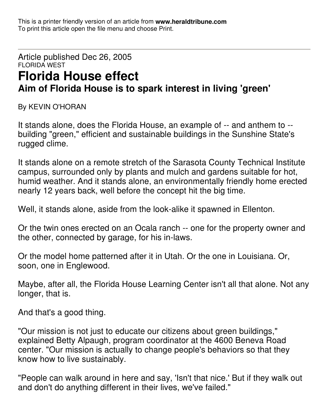This is a printer friendly version of an article from **www.heraldtribune.com** To print this article open the file menu and choose Print.

## Article published Dec 26, 2005 FLORIDA WEST **Florida House effect Aim of Florida House is to spark interest in living 'green'**

By KEVIN O'HORAN

It stands alone, does the Florida House, an example of -- and anthem to - building "green," efficient and sustainable buildings in the Sunshine State's rugged clime.

It stands alone on a remote stretch of the Sarasota County Technical Institute campus, surrounded only by plants and mulch and gardens suitable for hot, humid weather. And it stands alone, an environmentally friendly home erected nearly 12 years back, well before the concept hit the big time.

Well, it stands alone, aside from the look-alike it spawned in Ellenton.

Or the twin ones erected on an Ocala ranch -- one for the property owner and the other, connected by garage, for his in-laws.

Or the model home patterned after it in Utah. Or the one in Louisiana. Or, soon, one in Englewood.

Maybe, after all, the Florida House Learning Center isn't all that alone. Not any longer, that is.

And that's a good thing.

"Our mission is not just to educate our citizens about green buildings," explained Betty Alpaugh, program coordinator at the 4600 Beneva Road center. "Our mission is actually to change people's behaviors so that they know how to live sustainably.

"People can walk around in here and say, 'Isn't that nice.' But if they walk out and don't do anything different in their lives, we've failed."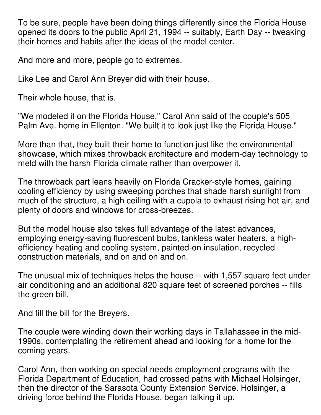To be sure, people have been doing things differently since the Florida House opened its doors to the public April 21, 1994 -- suitably, Earth Day -- tweaking their homes and habits after the ideas of the model center.

And more and more, people go to extremes.

Like Lee and Carol Ann Breyer did with their house.

Their whole house, that is.

"We modeled it on the Florida House," Carol Ann said of the couple's 505 Palm Ave. home in Ellenton. "We built it to look just like the Florida House."

More than that, they built their home to function just like the environmental showcase, which mixes throwback architecture and modern-day technology to meld with the harsh Florida climate rather than overpower it.

The throwback part leans heavily on Florida Cracker-style homes, gaining cooling efficiency by using sweeping porches that shade harsh sunlight from much of the structure, a high ceiling with a cupola to exhaust rising hot air, and plenty of doors and windows for cross-breezes.

But the model house also takes full advantage of the latest advances, employing energy-saving fluorescent bulbs, tankless water heaters, a highefficiency heating and cooling system, painted-on insulation, recycled construction materials, and on and on and on.

The unusual mix of techniques helps the house -- with 1,557 square feet under air conditioning and an additional 820 square feet of screened porches -- fills the green bill.

And fill the bill for the Breyers.

The couple were winding down their working days in Tallahassee in the mid-1990s, contemplating the retirement ahead and looking for a home for the coming years.

Carol Ann, then working on special needs employment programs with the Florida Department of Education, had crossed paths with Michael Holsinger, then the director of the Sarasota County Extension Service. Holsinger, a driving force behind the Florida House, began talking it up.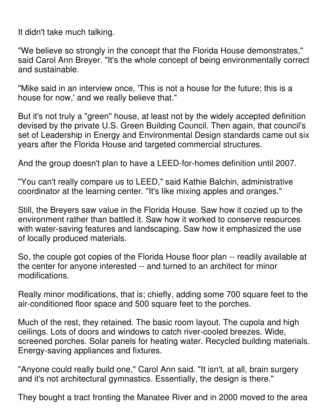It didn't take much talking.

"We believe so strongly in the concept that the Florida House demonstrates," said Carol Ann Breyer. "It's the whole concept of being environmentally correct and sustainable.

"Mike said in an interview once, 'This is not a house for the future; this is a house for now,' and we really believe that."

But it's not truly a "green" house, at least not by the widely accepted definition devised by the private U.S. Green Building Council. Then again, that council's set of Leadership in Energy and Environmental Design standards came out six years after the Florida House and targeted commercial structures.

And the group doesn't plan to have a LEED-for-homes definition until 2007.

"You can't really compare us to LEED," said Kathie Balchin, administrative coordinator at the learning center. "It's like mixing apples and oranges."

Still, the Breyers saw value in the Florida House. Saw how it cozied up to the environment rather than battled it. Saw how it worked to conserve resources with water-saving features and landscaping. Saw how it emphasized the use of locally produced materials.

So, the couple got copies of the Florida House floor plan -- readily available at the center for anyone interested -- and turned to an architect for minor modifications.

Really minor modifications, that is; chiefly, adding some 700 square feet to the air-conditioned floor space and 500 square feet to the porches.

Much of the rest, they retained. The basic room layout. The cupola and high ceilings. Lots of doors and windows to catch river-cooled breezes. Wide, screened porches. Solar panels for heating water. Recycled building materials. Energy-saving appliances and fixtures.

"Anyone could really build one," Carol Ann said. "It isn't, at all, brain surgery and it's not architectural gymnastics. Essentially, the design is there."

They bought a tract fronting the Manatee River and in 2000 moved to the area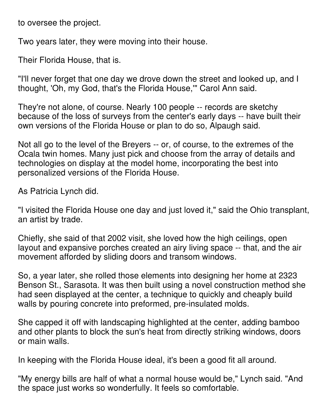to oversee the project.

Two years later, they were moving into their house.

Their Florida House, that is.

"I'll never forget that one day we drove down the street and looked up, and I thought, 'Oh, my God, that's the Florida House,'" Carol Ann said.

They're not alone, of course. Nearly 100 people -- records are sketchy because of the loss of surveys from the center's early days -- have built their own versions of the Florida House or plan to do so, Alpaugh said.

Not all go to the level of the Breyers -- or, of course, to the extremes of the Ocala twin homes. Many just pick and choose from the array of details and technologies on display at the model home, incorporating the best into personalized versions of the Florida House.

As Patricia Lynch did.

"I visited the Florida House one day and just loved it," said the Ohio transplant, an artist by trade.

Chiefly, she said of that 2002 visit, she loved how the high ceilings, open layout and expansive porches created an airy living space -- that, and the air movement afforded by sliding doors and transom windows.

So, a year later, she rolled those elements into designing her home at 2323 Benson St., Sarasota. It was then built using a novel construction method she had seen displayed at the center, a technique to quickly and cheaply build walls by pouring concrete into preformed, pre-insulated molds.

She capped it off with landscaping highlighted at the center, adding bamboo and other plants to block the sun's heat from directly striking windows, doors or main walls.

In keeping with the Florida House ideal, it's been a good fit all around.

"My energy bills are half of what a normal house would be," Lynch said. "And the space just works so wonderfully. It feels so comfortable.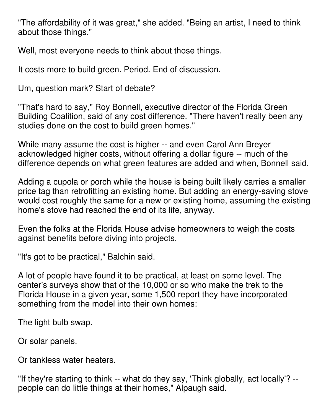"The affordability of it was great," she added. "Being an artist, I need to think about those things."

Well, most everyone needs to think about those things.

It costs more to build green. Period. End of discussion.

Um, question mark? Start of debate?

"That's hard to say," Roy Bonnell, executive director of the Florida Green Building Coalition, said of any cost difference. "There haven't really been any studies done on the cost to build green homes."

While many assume the cost is higher -- and even Carol Ann Breyer acknowledged higher costs, without offering a dollar figure -- much of the difference depends on what green features are added and when, Bonnell said.

Adding a cupola or porch while the house is being built likely carries a smaller price tag than retrofitting an existing home. But adding an energy-saving stove would cost roughly the same for a new or existing home, assuming the existing home's stove had reached the end of its life, anyway.

Even the folks at the Florida House advise homeowners to weigh the costs against benefits before diving into projects.

"It's got to be practical," Balchin said.

A lot of people have found it to be practical, at least on some level. The center's surveys show that of the 10,000 or so who make the trek to the Florida House in a given year, some 1,500 report they have incorporated something from the model into their own homes:

The light bulb swap.

Or solar panels.

Or tankless water heaters.

"If they're starting to think -- what do they say, 'Think globally, act locally'? - people can do little things at their homes," Alpaugh said.